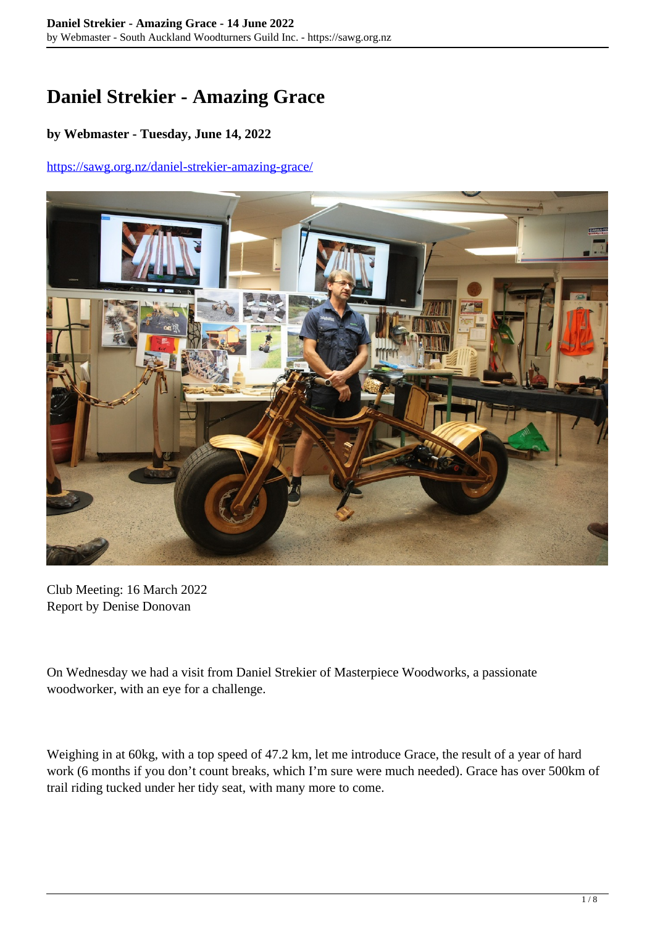## **Daniel Strekier - Amazing Grace**

## **by Webmaster - Tuesday, June 14, 2022**

## <https://sawg.org.nz/daniel-strekier-amazing-grace/>



Club Meeting: 16 March 2022 Report by Denise Donovan

On Wednesday we had a visit from Daniel Strekier of Masterpiece Woodworks, a passionate woodworker, with an eye for a challenge.

Weighing in at 60kg, with a top speed of 47.2 km, let me introduce Grace, the result of a year of hard work (6 months if you don't count breaks, which I'm sure were much needed). Grace has over 500km of trail riding tucked under her tidy seat, with many more to come.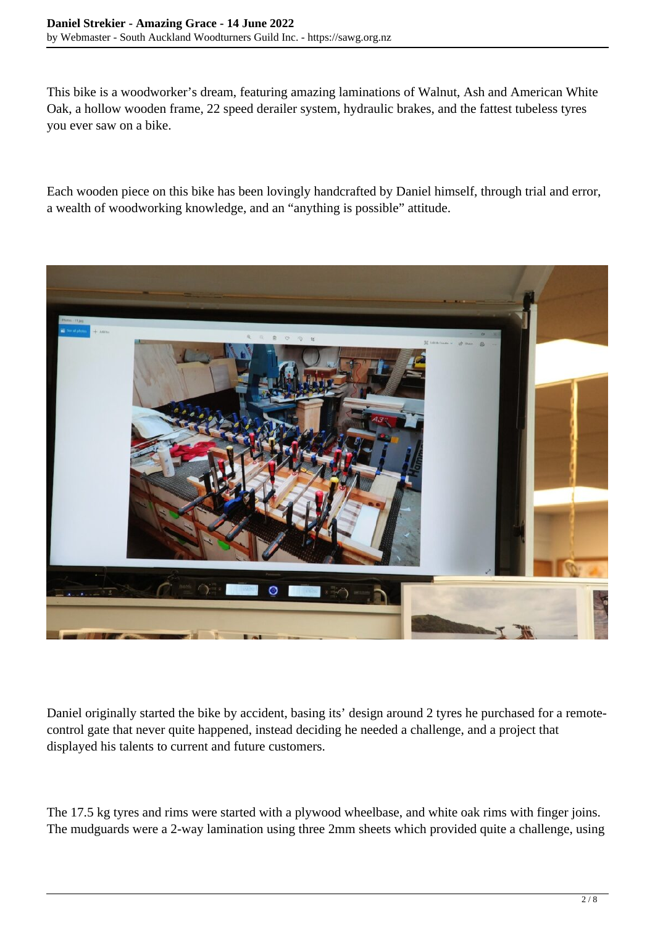This bike is a woodworker's dream, featuring amazing laminations of Walnut, Ash and American White Oak, a hollow wooden frame, 22 speed derailer system, hydraulic brakes, and the fattest tubeless tyres you ever saw on a bike.

Each wooden piece on this bike has been lovingly handcrafted by Daniel himself, through trial and error, a wealth of woodworking knowledge, and an "anything is possible" attitude.



Daniel originally started the bike by accident, basing its' design around 2 tyres he purchased for a remotecontrol gate that never quite happened, instead deciding he needed a challenge, and a project that displayed his talents to current and future customers.

The 17.5 kg tyres and rims were started with a plywood wheelbase, and white oak rims with finger joins. The mudguards were a 2-way lamination using three 2mm sheets which provided quite a challenge, using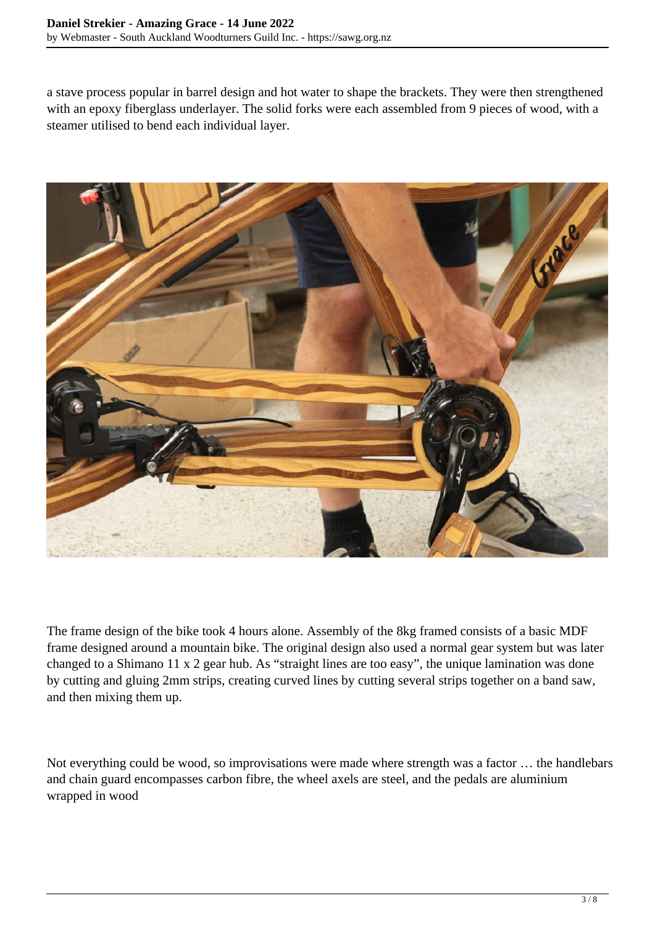a stave process popular in barrel design and hot water to shape the brackets. They were then strengthened with an epoxy fiberglass underlayer. The solid forks were each assembled from 9 pieces of wood, with a steamer utilised to bend each individual layer.



The frame design of the bike took 4 hours alone. Assembly of the 8kg framed consists of a basic MDF frame designed around a mountain bike. The original design also used a normal gear system but was later changed to a Shimano 11 x 2 gear hub. As "straight lines are too easy", the unique lamination was done by cutting and gluing 2mm strips, creating curved lines by cutting several strips together on a band saw, and then mixing them up.

Not everything could be wood, so improvisations were made where strength was a factor … the handlebars and chain guard encompasses carbon fibre, the wheel axels are steel, and the pedals are aluminium wrapped in wood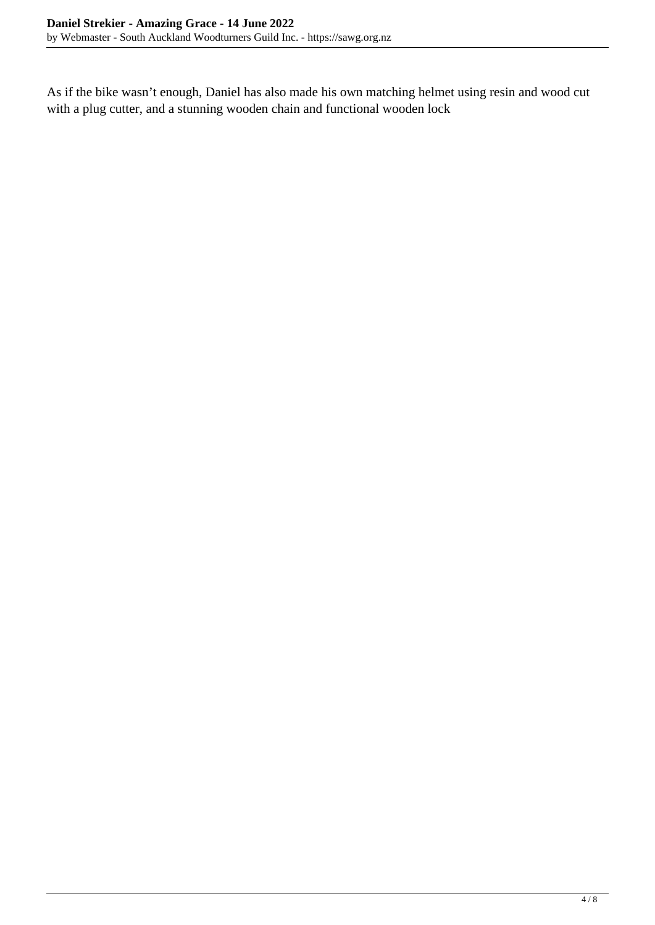As if the bike wasn't enough, Daniel has also made his own matching helmet using resin and wood cut with a plug cutter, and a stunning wooden chain and functional wooden lock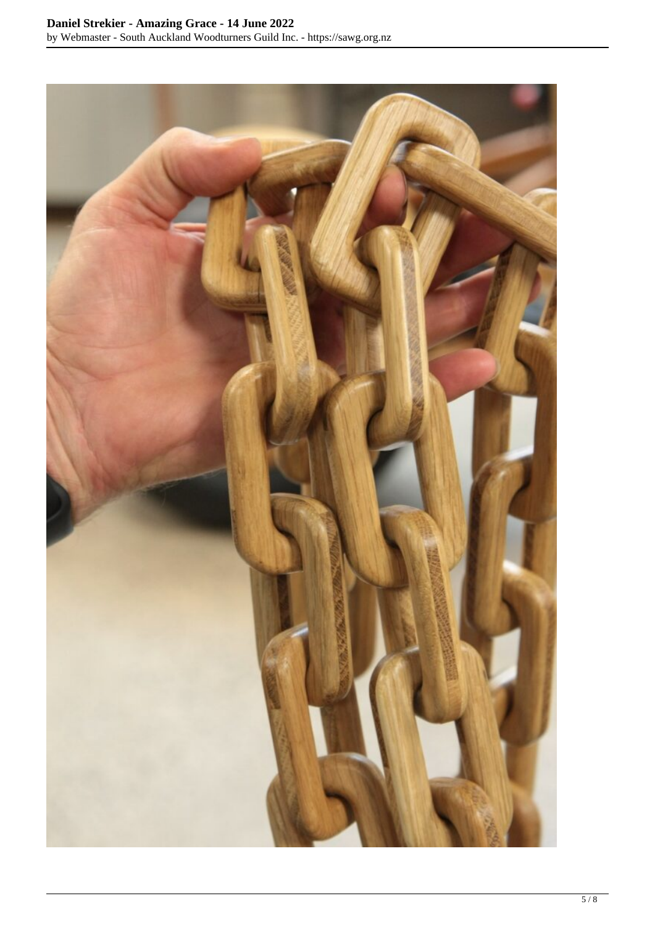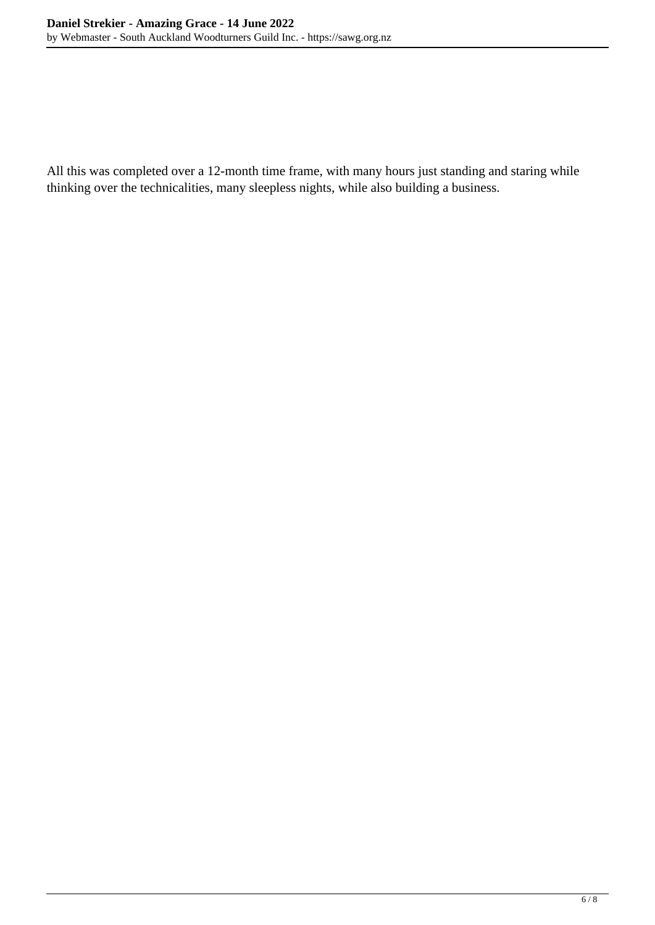All this was completed over a 12-month time frame, with many hours just standing and staring while thinking over the technicalities, many sleepless nights, while also building a business.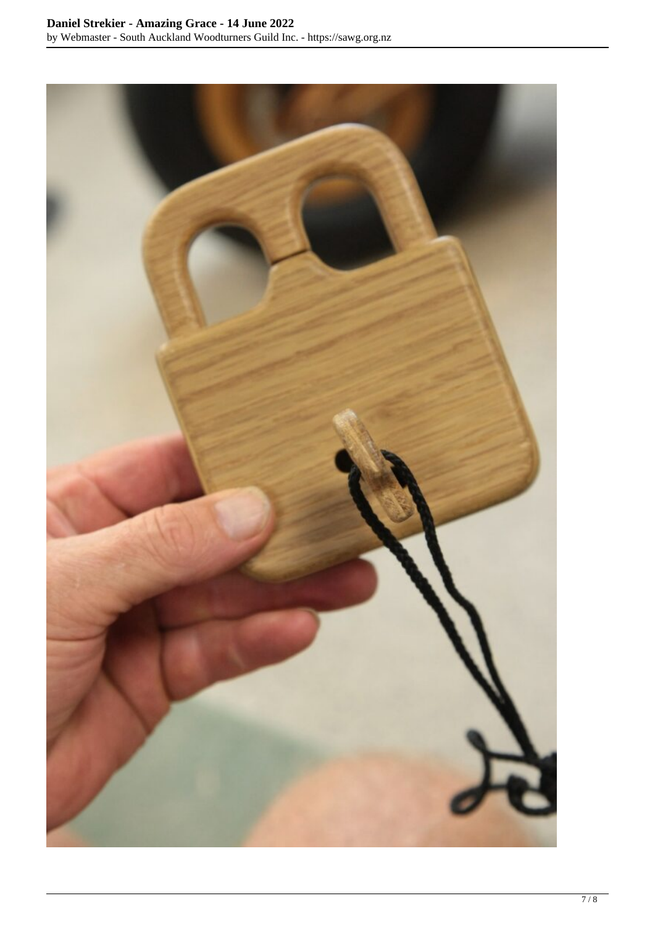